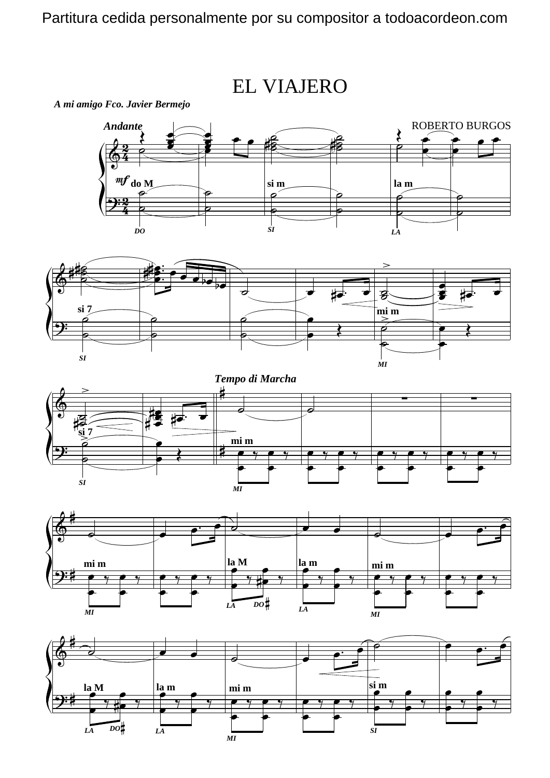**EL VIAJERO** 

A mi amigo Fco. Javier Bermejo











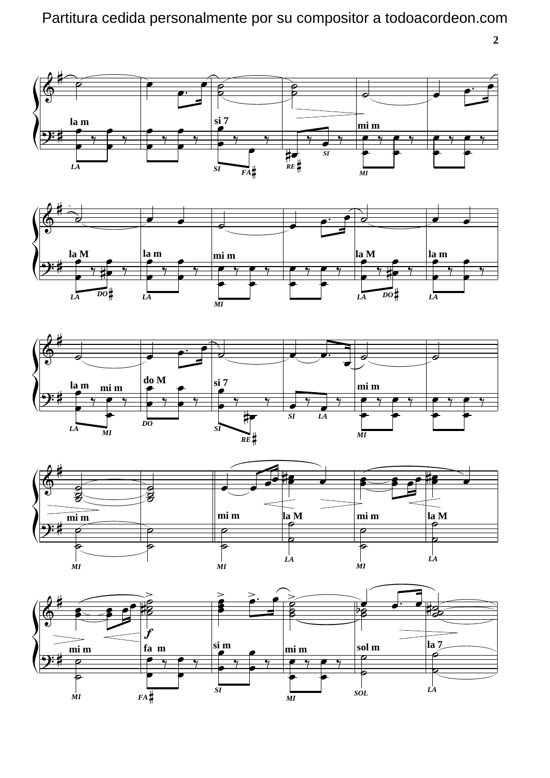$\overline{2}$ 









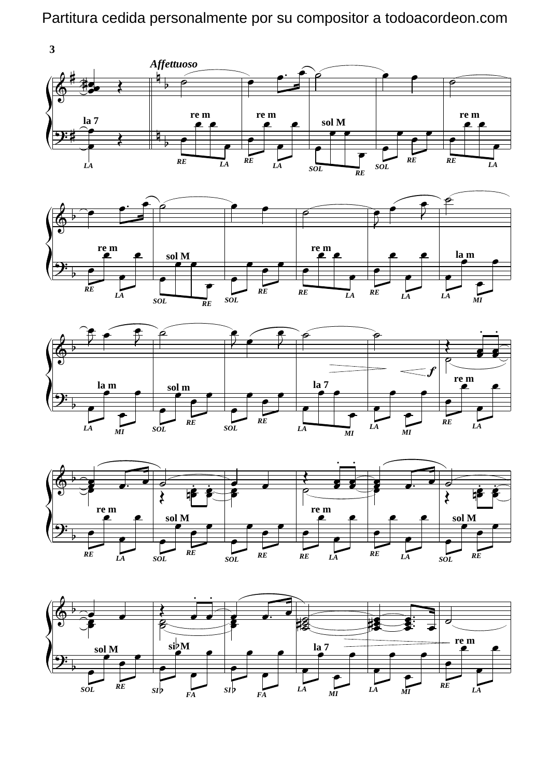







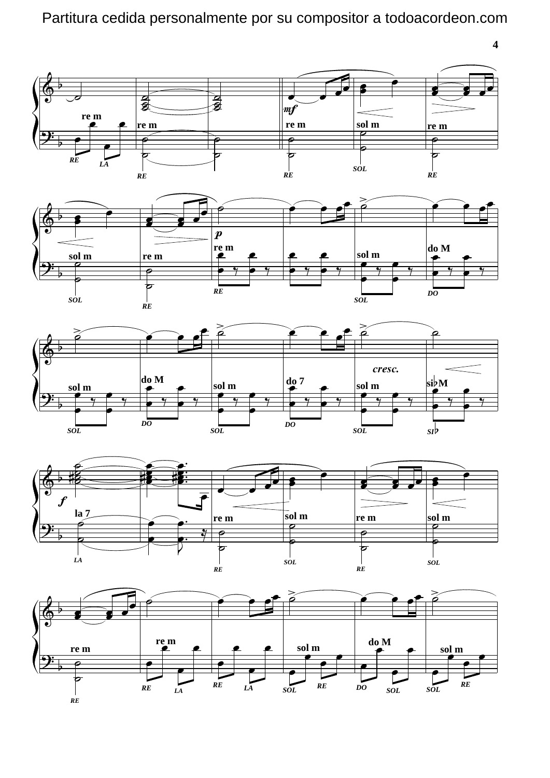

 $\overline{\mathbf{4}}$ 

 $s\overline{o}L$ 

 $RE$ 

 $\overline{DO}$ 

 $SOL$ 

 $sot$ 

 $RE$ 

LA

 $RE$ 

 $RE$ 

 $\overline{LA}$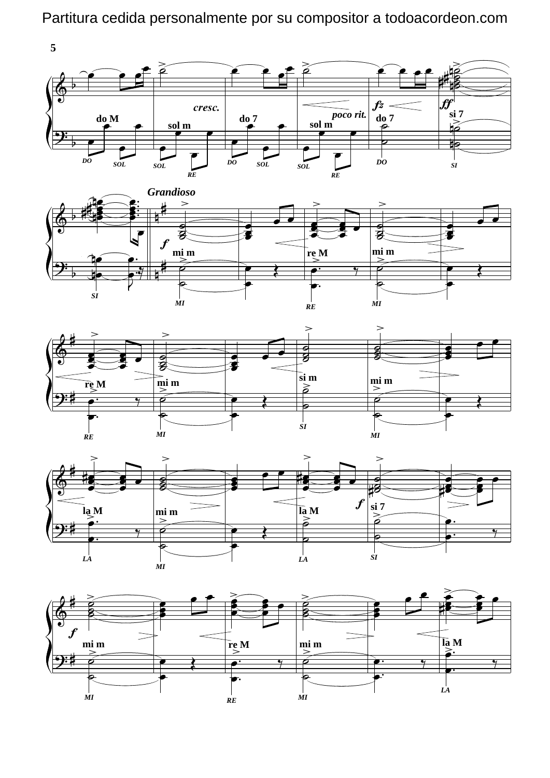







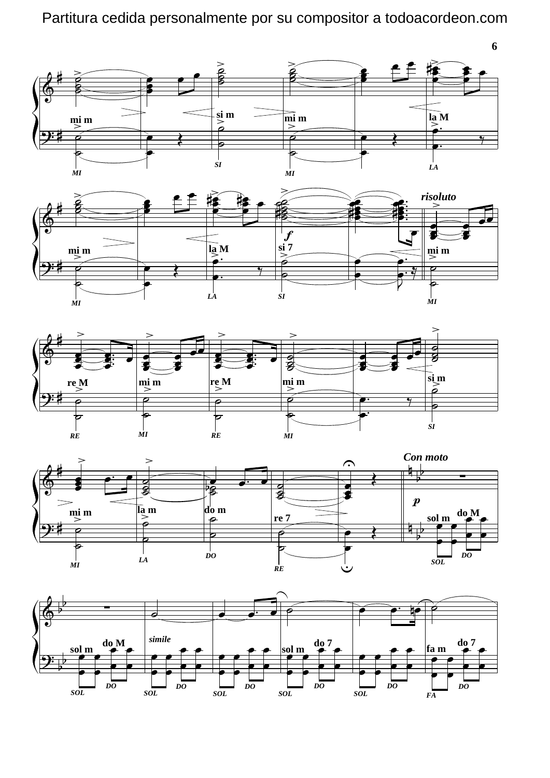







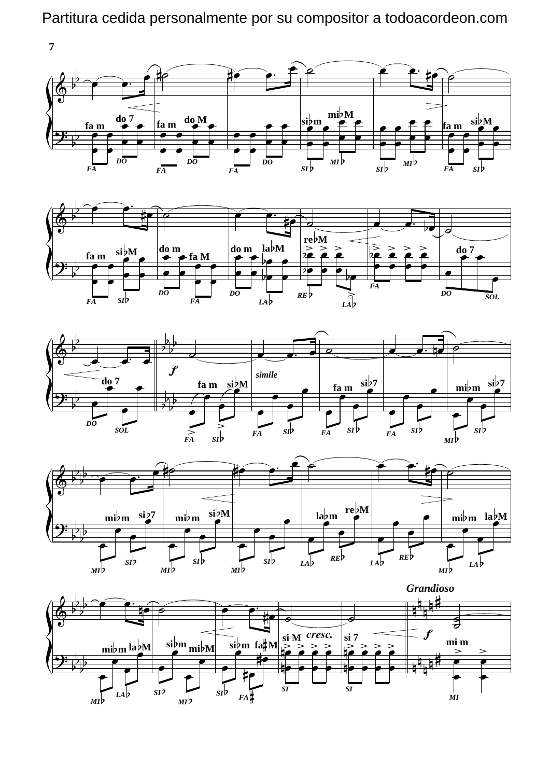







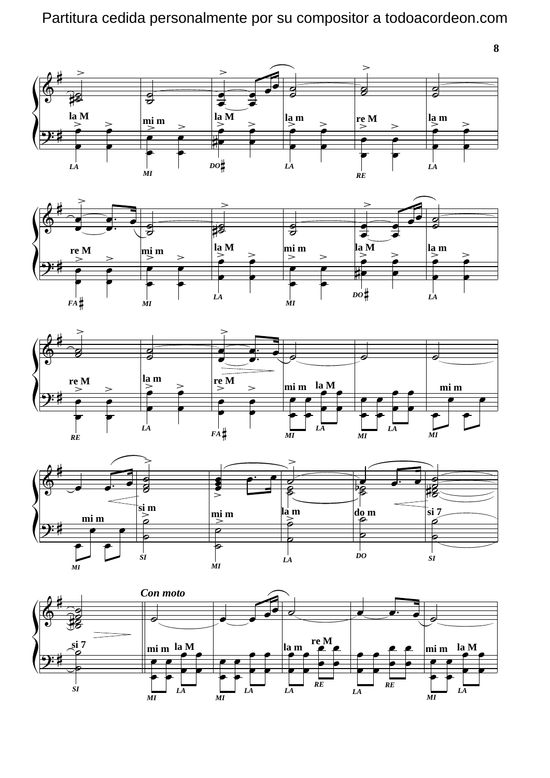